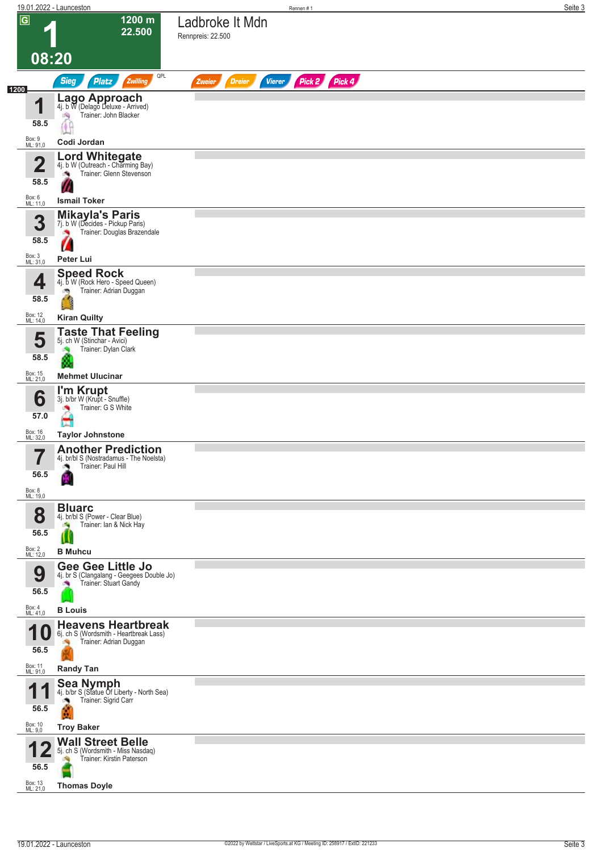| $\overline{\mathsf{G}}$ | 19.01.2022 - Launceston                                               | Rennen#1                                                  | Seite 3 |
|-------------------------|-----------------------------------------------------------------------|-----------------------------------------------------------|---------|
|                         | 1200 m<br>22.500                                                      | Ladbroke It Mdn<br>Rennpreis: 22.500                      |         |
|                         |                                                                       |                                                           |         |
| 08:20                   |                                                                       |                                                           |         |
|                         | QPL<br><b>Sieg</b><br>Zwilling<br><b>Platz</b>                        | Pick 2 Pick 4<br><b>Vierer</b><br><b>Dreier</b><br>Zweier |         |
| 1200                    | Lago Approach<br>4j. b W (Delago Deluxe - Arrived)                    |                                                           |         |
| и<br>ш                  | Trainer: John Blacker<br>淘                                            |                                                           |         |
| 58.5                    |                                                                       |                                                           |         |
| Box: 9<br>ML: 91,0      | Codi Jordan                                                           |                                                           |         |
| $\overline{\mathbf{2}}$ | <b>Lord Whitegate</b><br>4j. b W (Outreach - Charming Bay)            |                                                           |         |
| 58.5                    | Trainer: Glenn Stevenson<br>×,                                        |                                                           |         |
|                         | <b>Ismail Toker</b>                                                   |                                                           |         |
| Box: 6<br>ML: 11,0      | <b>Mikayla's Paris</b>                                                |                                                           |         |
| 3                       | 7j. b W (Decides - Pickup Paris)<br>Trainer: Douglas Brazendale       |                                                           |         |
| 58.5                    | ×,                                                                    |                                                           |         |
| Box: 3<br>ML: 31,0      | Peter Lui                                                             |                                                           |         |
|                         | <b>Speed Rock</b>                                                     |                                                           |         |
| 4                       | 4j. b W (Rock Hero - Speed Queen)<br>Trainer: Adrian Duggan           |                                                           |         |
| 58.5                    | B                                                                     |                                                           |         |
| Box: 12<br>ML: 14,0     | <b>Kiran Quilty</b>                                                   |                                                           |         |
| 5                       | <b>Taste That Feeling</b><br>5j. ch W (Stinchar - Avici)              |                                                           |         |
| 58.5                    | Trainer: Dylan Clark<br>澚<br>m.                                       |                                                           |         |
| Box: 15<br>ML: 21,0     | <b>Mehmet Ulucinar</b>                                                |                                                           |         |
|                         | I'm Krupt<br>3j. b/br W (Krupt - Snuffle)                             |                                                           |         |
| 6                       | Trainer: G S White                                                    |                                                           |         |
| 57.0                    |                                                                       |                                                           |         |
| Box: 16<br>ML: 32,0     | <b>Taylor Johnstone</b>                                               |                                                           |         |
| 7<br>ı                  | <b>Another Prediction</b><br>4j. br/bl S (Nostradamus - The Noelsta)  |                                                           |         |
| 56.5                    | Trainer: Paul Hill                                                    |                                                           |         |
| Box: 8<br>ML: 19,0      |                                                                       |                                                           |         |
|                         | <b>Bluarc</b>                                                         |                                                           |         |
| 8                       | 4j. br/bl S (Power - Clear Blue)<br>Trainer: Ian & Nick Hay<br>e.     |                                                           |         |
| 56.5                    | $\mathbf u$                                                           |                                                           |         |
| Box: 2<br>ML: 12,0      | <b>B</b> Muhcu                                                        |                                                           |         |
| 9                       | <b>Gee Gee Little Jo</b><br>4j. br S (Clangalang - Geegees Double Jo) |                                                           |         |
| 56.5                    | Trainer: Stuart Gandy                                                 |                                                           |         |
| Box: 4<br>ML: 41,0      | <b>B</b> Louis                                                        |                                                           |         |
| И                       | <b>Heavens Heartbreak</b>                                             |                                                           |         |
| O                       | 6j. ch S (Wordsmith - Heartbreak Lass)<br>Trainer: Adrian Duggan      |                                                           |         |
| 56.5                    |                                                                       |                                                           |         |
| Box: 11<br>ML: 91,0     | <b>Randy Tan</b>                                                      |                                                           |         |
| и                       | <b>Sea Nymph</b><br>4j. b/br S (Statue Of Liberty - North Sea)        |                                                           |         |
| 56.5                    | Trainer: Sigrid Carr                                                  |                                                           |         |
| Box: 10<br>ML: 9,0      | <b>Troy Baker</b>                                                     |                                                           |         |
|                         | <b>Wall Street Belle</b>                                              |                                                           |         |
|                         | 5j. ch S (Wordsmith - Miss Nasdaq)<br>Trainer: Kirstin Paterson       |                                                           |         |
| 56.5                    |                                                                       |                                                           |         |
| Box: 13<br>ML: 21,0     | <b>Thomas Doyle</b>                                                   |                                                           |         |
|                         |                                                                       |                                                           |         |